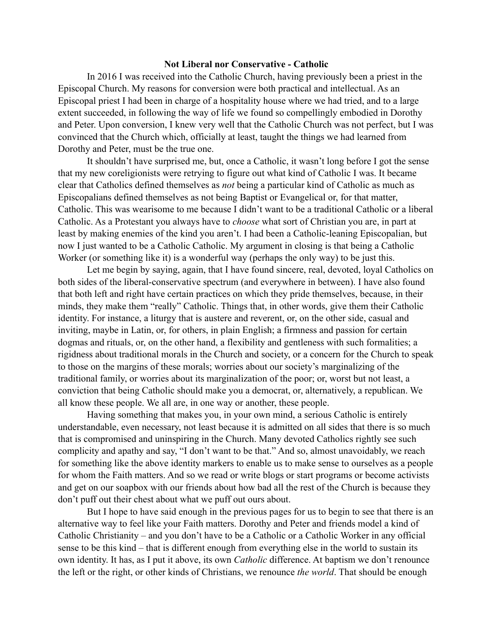## **Not Liberal nor Conservative - Catholic**

In 2016 I was received into the Catholic Church, having previously been a priest in the Episcopal Church. My reasons for conversion were both practical and intellectual. As an Episcopal priest I had been in charge of a hospitality house where we had tried, and to a large extent succeeded, in following the way of life we found so compellingly embodied in Dorothy and Peter. Upon conversion, I knew very well that the Catholic Church was not perfect, but I was convinced that the Church which, officially at least, taught the things we had learned from Dorothy and Peter, must be the true one.

It shouldn't have surprised me, but, once a Catholic, it wasn't long before I got the sense that my new coreligionists were retrying to figure out what kind of Catholic I was. It became clear that Catholics defined themselves as *not* being a particular kind of Catholic as much as Episcopalians defined themselves as not being Baptist or Evangelical or, for that matter, Catholic. This was wearisome to me because I didn't want to be a traditional Catholic or a liberal Catholic. As a Protestant you always have to *choose* what sort of Christian you are, in part at least by making enemies of the kind you aren't. I had been a Catholic-leaning Episcopalian, but now I just wanted to be a Catholic Catholic. My argument in closing is that being a Catholic Worker (or something like it) is a wonderful way (perhaps the only way) to be just this.

Let me begin by saying, again, that I have found sincere, real, devoted, loyal Catholics on both sides of the liberal-conservative spectrum (and everywhere in between). I have also found that both left and right have certain practices on which they pride themselves, because, in their minds, they make them "really" Catholic. Things that, in other words, give them their Catholic identity. For instance, a liturgy that is austere and reverent, or, on the other side, casual and inviting, maybe in Latin, or, for others, in plain English; a firmness and passion for certain dogmas and rituals, or, on the other hand, a flexibility and gentleness with such formalities; a rigidness about traditional morals in the Church and society, or a concern for the Church to speak to those on the margins of these morals; worries about our society's marginalizing of the traditional family, or worries about its marginalization of the poor; or, worst but not least, a conviction that being Catholic should make you a democrat, or, alternatively, a republican. We all know these people. We all are, in one way or another, these people.

Having something that makes you, in your own mind, a serious Catholic is entirely understandable, even necessary, not least because it is admitted on all sides that there is so much that is compromised and uninspiring in the Church. Many devoted Catholics rightly see such complicity and apathy and say, "I don't want to be that." And so, almost unavoidably, we reach for something like the above identity markers to enable us to make sense to ourselves as a people for whom the Faith matters. And so we read or write blogs or start programs or become activists and get on our soapbox with our friends about how bad all the rest of the Church is because they don't puff out their chest about what we puff out ours about.

But I hope to have said enough in the previous pages for us to begin to see that there is an alternative way to feel like your Faith matters. Dorothy and Peter and friends model a kind of Catholic Christianity – and you don't have to be a Catholic or a Catholic Worker in any official sense to be this kind – that is different enough from everything else in the world to sustain its own identity. It has, as I put it above, its own *Catholic* difference. At baptism we don't renounce the left or the right, or other kinds of Christians, we renounce *the world*. That should be enough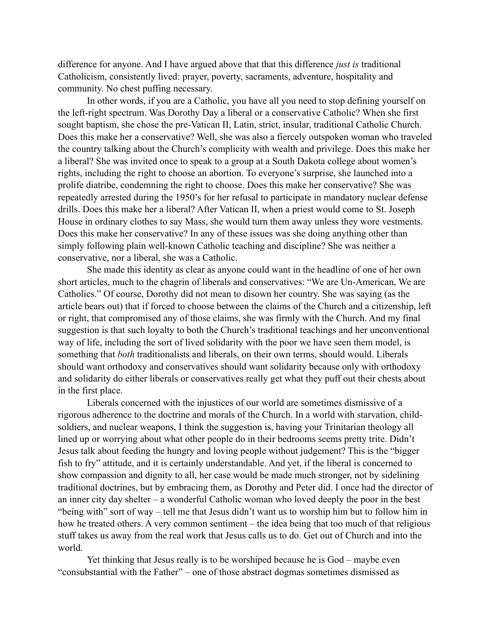difference for anyone. And I have argued above that that this difference *just is* traditional Catholicism, consistently lived: prayer, poverty, sacraments, adventure, hospitality and community. No chest puffing necessary.

In other words, if you are a Catholic, you have all you need to stop defining yourself on the left-right spectrum. Was Dorothy Day a liberal or a conservative Catholic? When she first sought baptism, she chose the pre-Vatican II, Latin, strict, insular, traditional Catholic Church. Does this make her a conservative? Well, she was also a fiercely outspoken woman who traveled the country talking about the Church's complicity with wealth and privilege. Does this make her a liberal? She was invited once to speak to a group at a South Dakota college about women's rights, including the right to choose an abortion. To everyone's surprise, she launched into a prolife diatribe, condemning the right to choose. Does this make her conservative? She was repeatedly arrested during the 1950's for her refusal to participate in mandatory nuclear defense drills. Does this make her a liberal? After Vatican II, when a priest would come to St. Joseph House in ordinary clothes to say Mass, she would turn them away unless they wore vestments. Does this make her conservative? In any of these issues was she doing anything other than simply following plain well-known Catholic teaching and discipline? She was neither a conservative, nor a liberal, she was a Catholic.

She made this identity as clear as anyone could want in the headline of one of her own short articles, much to the chagrin of liberals and conservatives: "We are Un-American, We are Catholics." Of course, Dorothy did not mean to disown her country. She was saying (as the article bears out) that if forced to choose between the claims of the Church and a citizenship, left or right, that compromised any of those claims, she was firmly with the Church. And my final suggestion is that such loyalty to both the Church's traditional teachings and her unconventional way of life, including the sort of lived solidarity with the poor we have seen them model, is something that *both* traditionalists and liberals, on their own terms, should would. Liberals should want orthodoxy and conservatives should want solidarity because only with orthodoxy and solidarity do either liberals or conservatives really get what they puff out their chests about in the first place.

Liberals concerned with the injustices of our world are sometimes dismissive of a rigorous adherence to the doctrine and morals of the Church. In a world with starvation, childsoldiers, and nuclear weapons, I think the suggestion is, having your Trinitarian theology all lined up or worrying about what other people do in their bedrooms seems pretty trite. Didn't Jesus talk about feeding the hungry and loving people without judgement? This is the "bigger fish to fry" attitude, and it is certainly understandable. And yet, if the liberal is concerned to show compassion and dignity to all, her case would be made much stronger, not by sidelining traditional doctrines, but by embracing them, as Dorothy and Peter did. I once had the director of an inner city day shelter – a wonderful Catholic woman who loved deeply the poor in the best "being with" sort of way – tell me that Jesus didn't want us to worship him but to follow him in how he treated others. A very common sentiment – the idea being that too much of that religious stuff takes us away from the real work that Jesus calls us to do. Get out of Church and into the world.

Yet thinking that Jesus really is to be worshiped because he is God – maybe even "consubstantial with the Father" – one of those abstract dogmas sometimes dismissed as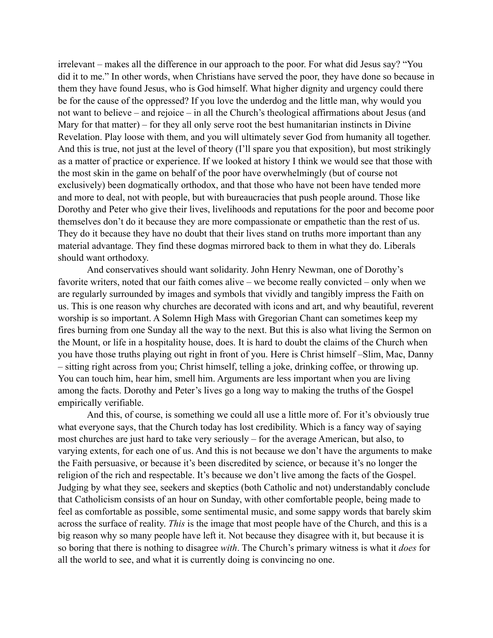irrelevant – makes all the difference in our approach to the poor. For what did Jesus say? "You did it to me." In other words, when Christians have served the poor, they have done so because in them they have found Jesus, who is God himself. What higher dignity and urgency could there be for the cause of the oppressed? If you love the underdog and the little man, why would you not want to believe – and rejoice – in all the Church's theological affirmations about Jesus (and Mary for that matter) – for they all only serve root the best humanitarian instincts in Divine Revelation. Play loose with them, and you will ultimately sever God from humanity all together. And this is true, not just at the level of theory (I'll spare you that exposition), but most strikingly as a matter of practice or experience. If we looked at history I think we would see that those with the most skin in the game on behalf of the poor have overwhelmingly (but of course not exclusively) been dogmatically orthodox, and that those who have not been have tended more and more to deal, not with people, but with bureaucracies that push people around. Those like Dorothy and Peter who give their lives, livelihoods and reputations for the poor and become poor themselves don't do it because they are more compassionate or empathetic than the rest of us. They do it because they have no doubt that their lives stand on truths more important than any material advantage. They find these dogmas mirrored back to them in what they do. Liberals should want orthodoxy.

And conservatives should want solidarity. John Henry Newman, one of Dorothy's favorite writers, noted that our faith comes alive – we become really convicted – only when we are regularly surrounded by images and symbols that vividly and tangibly impress the Faith on us. This is one reason why churches are decorated with icons and art, and why beautiful, reverent worship is so important. A Solemn High Mass with Gregorian Chant can sometimes keep my fires burning from one Sunday all the way to the next. But this is also what living the Sermon on the Mount, or life in a hospitality house, does. It is hard to doubt the claims of the Church when you have those truths playing out right in front of you. Here is Christ himself –Slim, Mac, Danny – sitting right across from you; Christ himself, telling a joke, drinking coffee, or throwing up. You can touch him, hear him, smell him. Arguments are less important when you are living among the facts. Dorothy and Peter's lives go a long way to making the truths of the Gospel empirically verifiable.

And this, of course, is something we could all use a little more of. For it's obviously true what everyone says, that the Church today has lost credibility. Which is a fancy way of saying most churches are just hard to take very seriously – for the average American, but also, to varying extents, for each one of us. And this is not because we don't have the arguments to make the Faith persuasive, or because it's been discredited by science, or because it's no longer the religion of the rich and respectable. It's because we don't live among the facts of the Gospel. Judging by what they see, seekers and skeptics (both Catholic and not) understandably conclude that Catholicism consists of an hour on Sunday, with other comfortable people, being made to feel as comfortable as possible, some sentimental music, and some sappy words that barely skim across the surface of reality. *This* is the image that most people have of the Church, and this is a big reason why so many people have left it. Not because they disagree with it, but because it is so boring that there is nothing to disagree *with*. The Church's primary witness is what it *does* for all the world to see, and what it is currently doing is convincing no one.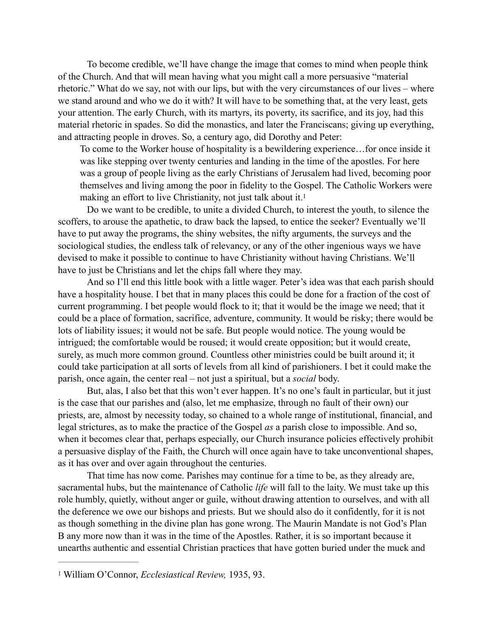To become credible, we'll have change the image that comes to mind when people think of the Church. And that will mean having what you might call a more persuasive "material rhetoric." What do we say, not with our lips, but with the very circumstances of our lives – where we stand around and who we do it with? It will have to be something that, at the very least, gets your attention. The early Church, with its martyrs, its poverty, its sacrifice, and its joy, had this material rhetoric in spades. So did the monastics, and later the Franciscans; giving up everything, and attracting people in droves. So, a century ago, did Dorothy and Peter:

<span id="page-3-1"></span>To come to the Worker house of hospitality is a bewildering experience…for once inside it was like stepping over twenty centuries and landing in the time of the apostles. For here was a group of people living as the early Christians of Jerusalem had lived, becoming poor themselves and living among the poor in fidelity to the Gospel. The Catholic Workers were making an effort to live Christianity, not just talk about it.<sup>1</sup>

Do we want to be credible, to unite a divided Church, to interest the youth, to silence the scoffers, to arouse the apathetic, to draw back the lapsed, to entice the seeker? Eventually we'll have to put away the programs, the shiny websites, the nifty arguments, the surveys and the sociological studies, the endless talk of relevancy, or any of the other ingenious ways we have devised to make it possible to continue to have Christianity without having Christians. We'll have to just be Christians and let the chips fall where they may.

And so I'll end this little book with a little wager. Peter's idea was that each parish should have a hospitality house. I bet that in many places this could be done for a fraction of the cost of current programming. I bet people would flock to it; that it would be the image we need; that it could be a place of formation, sacrifice, adventure, community. It would be risky; there would be lots of liability issues; it would not be safe. But people would notice. The young would be intrigued; the comfortable would be roused; it would create opposition; but it would create, surely, as much more common ground. Countless other ministries could be built around it; it could take participation at all sorts of levels from all kind of parishioners. I bet it could make the parish, once again, the center real – not just a spiritual, but a *social* body.

But, alas, I also bet that this won't ever happen. It's no one's fault in particular, but it just is the case that our parishes and (also, let me emphasize, through no fault of their own) our priests, are, almost by necessity today, so chained to a whole range of institutional, financial, and legal strictures, as to make the practice of the Gospel *as* a parish close to impossible. And so, when it becomes clear that, perhaps especially, our Church insurance policies effectively prohibit a persuasive display of the Faith, the Church will once again have to take unconventional shapes, as it has over and over again throughout the centuries.

That time has now come. Parishes may continue for a time to be, as they already are, sacramental hubs, but the maintenance of Catholic *life* will fall to the laity. We must take up this role humbly, quietly, without anger or guile, without drawing attention to ourselves, and with all the deference we owe our bishops and priests. But we should also do it confidently, for it is not as though something in the divine plan has gone wrong. The Maurin Mandate is not God's Plan B any more now than it was in the time of the Apostles. Rather, it is so important because it unearths authentic and essential Christian practices that have gotten buried under the muck and

<span id="page-3-0"></span>William O'Connor, *Ecclesiastical Review,* 1935, 93. [1](#page-3-1)